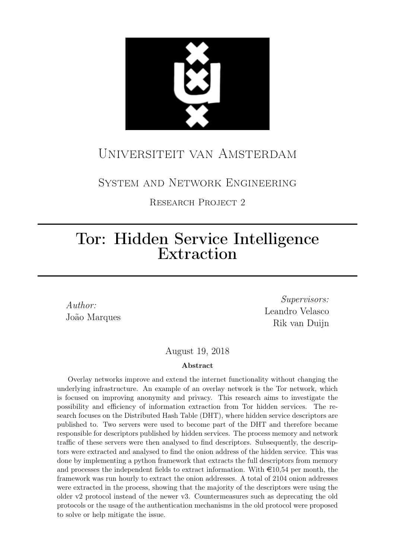

# Universiteit van Amsterdam

System and Network Engineering

Research Project 2

# Tor: Hidden Service Intelligence Extraction

Author: João Marques

Supervisors: Leandro Velasco Rik van Duijn

August 19, 2018

#### Abstract

Overlay networks improve and extend the internet functionality without changing the underlying infrastructure. An example of an overlay network is the Tor network, which is focused on improving anonymity and privacy. This research aims to investigate the possibility and efficiency of information extraction from Tor hidden services. The research focuses on the Distributed Hash Table (DHT), where hidden service descriptors are published to. Two servers were used to become part of the DHT and therefore became responsible for descriptors published by hidden services. The process memory and network traffic of these servers were then analysed to find descriptors. Subsequently, the descriptors were extracted and analysed to find the onion address of the hidden service. This was done by implementing a python framework that extracts the full descriptors from memory and processes the independent fields to extract information. With  $\epsilon$ 10,54 per month, the framework was run hourly to extract the onion addresses. A total of 2104 onion addresses were extracted in the process, showing that the majority of the descriptors were using the older v2 protocol instead of the newer v3. Countermeasures such as deprecating the old protocols or the usage of the authentication mechanisms in the old protocol were proposed to solve or help mitigate the issue.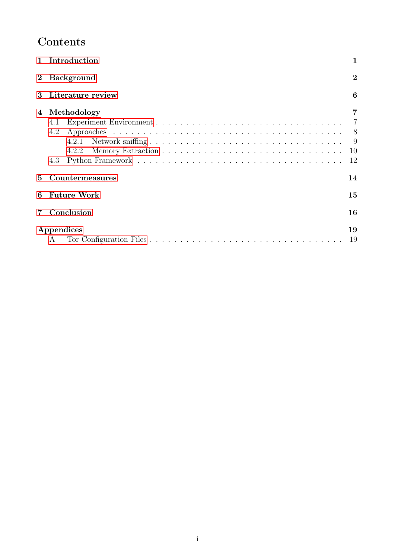# Contents

|                | Introduction                                       |                               |  |  |  |  |
|----------------|----------------------------------------------------|-------------------------------|--|--|--|--|
| $\mathbf{2}$   | <b>Background</b>                                  | $\bf{2}$                      |  |  |  |  |
| 3              | Literature review                                  | 6                             |  |  |  |  |
| $\overline{4}$ | Methodology<br>4.1<br>4.2<br>4.2.1<br>4.2.2<br>4.3 | 7<br>7<br>8<br>-9<br>10<br>12 |  |  |  |  |
| $\mathbf{5}$   | Countermeasures                                    | 14                            |  |  |  |  |
| 6              | <b>Future Work</b>                                 | 15                            |  |  |  |  |
|                | Conclusion                                         | 16                            |  |  |  |  |
|                | Appendices<br>$\mathsf{A}$                         |                               |  |  |  |  |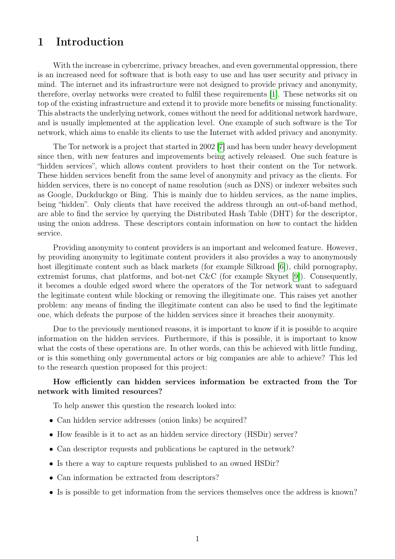## <span id="page-2-0"></span>1 Introduction

With the increase in cybercrime, privacy breaches, and even governmental oppression, there is an increased need for software that is both easy to use and has user security and privacy in mind. The internet and its infrastructure were not designed to provide privacy and anonymity, therefore, overlay networks were created to fulfil these requirements [\[1\]](#page-18-0). These networks sit on top of the existing infrastructure and extend it to provide more benefits or missing functionality. This abstracts the underlying network, comes without the need for additional network hardware, and is usually implemented at the application level. One example of such software is the Tor network, which aims to enable its clients to use the Internet with added privacy and anonymity.

The Tor network is a project that started in 2002 [\[7\]](#page-18-1) and has been under heavy development since then, with new features and improvements being actively released. One such feature is "hidden services", which allows content providers to host their content on the Tor network. These hidden services benefit from the same level of anonymity and privacy as the clients. For hidden services, there is no concept of name resolution (such as DNS) or indexer websites such as Google, Duckduckgo or Bing. This is mainly due to hidden services, as the name implies, being "hidden". Only clients that have received the address through an out-of-band method, are able to find the service by querying the Distributed Hash Table (DHT) for the descriptor, using the onion address. These descriptors contain information on how to contact the hidden service.

Providing anonymity to content providers is an important and welcomed feature. However, by providing anonymity to legitimate content providers it also provides a way to anonymously host illegitimate content such as black markets (for example Silkroad [\[6\]](#page-18-2)), child pornography, extremist forums, chat platforms, and bot-net C&C (for example Skynet [\[9\]](#page-18-3)). Consequently, it becomes a double edged sword where the operators of the Tor network want to safeguard the legitimate content while blocking or removing the illegitimate one. This raises yet another problem: any means of finding the illegitimate content can also be used to find the legitimate one, which defeats the purpose of the hidden services since it breaches their anonymity.

Due to the previously mentioned reasons, it is important to know if it is possible to acquire information on the hidden services. Furthermore, if this is possible, it is important to know what the costs of these operations are. In other words, can this be achieved with little funding, or is this something only governmental actors or big companies are able to achieve? This led to the research question proposed for this project:

#### How efficiently can hidden services information be extracted from the Tor network with limited resources?

To help answer this question the research looked into:

- Can hidden service addresses (onion links) be acquired?
- How feasible is it to act as an hidden service directory (HSDir) server?
- Can descriptor requests and publications be captured in the network?
- Is there a way to capture requests published to an owned HSDir?
- Can information be extracted from descriptors?
- Is is possible to get information from the services themselves once the address is known?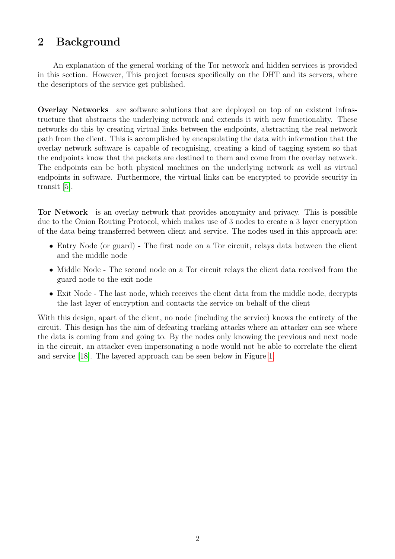# <span id="page-3-0"></span>2 Background

An explanation of the general working of the Tor network and hidden services is provided in this section. However, This project focuses specifically on the DHT and its servers, where the descriptors of the service get published.

Overlay Networks are software solutions that are deployed on top of an existent infrastructure that abstracts the underlying network and extends it with new functionality. These networks do this by creating virtual links between the endpoints, abstracting the real network path from the client. This is accomplished by encapsulating the data with information that the overlay network software is capable of recognising, creating a kind of tagging system so that the endpoints know that the packets are destined to them and come from the overlay network. The endpoints can be both physical machines on the underlying network as well as virtual endpoints in software. Furthermore, the virtual links can be encrypted to provide security in transit [\[5\]](#page-18-4).

Tor Network is an overlay network that provides anonymity and privacy. This is possible due to the Onion Routing Protocol, which makes use of 3 nodes to create a 3 layer encryption of the data being transferred between client and service. The nodes used in this approach are:

- Entry Node (or guard) The first node on a Tor circuit, relays data between the client and the middle node
- Middle Node The second node on a Tor circuit relays the client data received from the guard node to the exit node
- Exit Node The last node, which receives the client data from the middle node, decrypts the last layer of encryption and contacts the service on behalf of the client

With this design, apart of the client, no node (including the service) knows the entirety of the circuit. This design has the aim of defeating tracking attacks where an attacker can see where the data is coming from and going to. By the nodes only knowing the previous and next node in the circuit, an attacker even impersonating a node would not be able to correlate the client and service [\[18\]](#page-18-5). The layered approach can be seen below in Figure [1.](#page-4-0)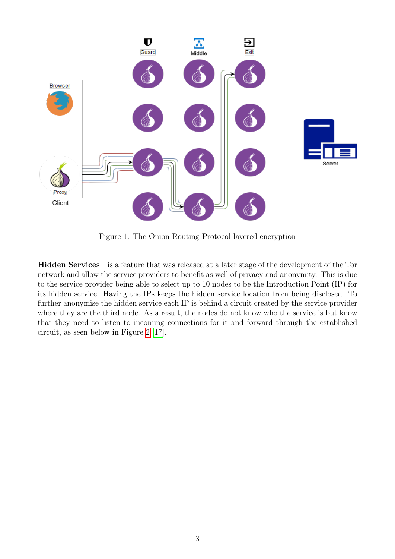<span id="page-4-0"></span>

Figure 1: The Onion Routing Protocol layered encryption

Hidden Services is a feature that was released at a later stage of the development of the Tor network and allow the service providers to benefit as well of privacy and anonymity. This is due to the service provider being able to select up to 10 nodes to be the Introduction Point (IP) for its hidden service. Having the IPs keeps the hidden service location from being disclosed. To further anonymise the hidden service each IP is behind a circuit created by the service provider where they are the third node. As a result, the nodes do not know who the service is but know that they need to listen to incoming connections for it and forward through the established circuit, as seen below in Figure [2](#page-5-0) [\[17\]](#page-18-6).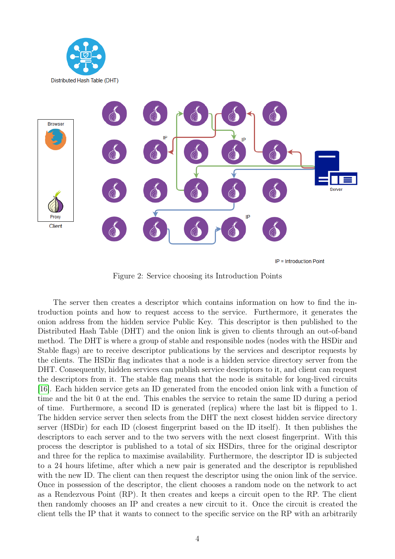<span id="page-5-0"></span>



 $IP = Introducing the point$ 

Figure 2: Service choosing its Introduction Points

The server then creates a descriptor which contains information on how to find the introduction points and how to request access to the service. Furthermore, it generates the onion address from the hidden service Public Key. This descriptor is then published to the Distributed Hash Table (DHT) and the onion link is given to clients through an out-of-band method. The DHT is where a group of stable and responsible nodes (nodes with the HSDir and Stable flags) are to receive descriptor publications by the services and descriptor requests by the clients. The HSDir flag indicates that a node is a hidden service directory server from the DHT. Consequently, hidden services can publish service descriptors to it, and client can request the descriptors from it. The stable flag means that the node is suitable for long-lived circuits [\[16\]](#page-18-7). Each hidden service gets an ID generated from the encoded onion link with a function of time and the bit 0 at the end. This enables the service to retain the same ID during a period of time. Furthermore, a second ID is generated (replica) where the last bit is flipped to 1. The hidden service server then selects from the DHT the next closest hidden service directory server (HSDir) for each ID (closest fingerprint based on the ID itself). It then publishes the descriptors to each server and to the two servers with the next closest fingerprint. With this process the descriptor is published to a total of six HSDirs, three for the original descriptor and three for the replica to maximise availability. Furthermore, the descriptor ID is subjected to a 24 hours lifetime, after which a new pair is generated and the descriptor is republished with the new ID. The client can then request the descriptor using the onion link of the service. Once in possession of the descriptor, the client chooses a random node on the network to act as a Rendezvous Point (RP). It then creates and keeps a circuit open to the RP. The client then randomly chooses an IP and creates a new circuit to it. Once the circuit is created the client tells the IP that it wants to connect to the specific service on the RP with an arbitrarily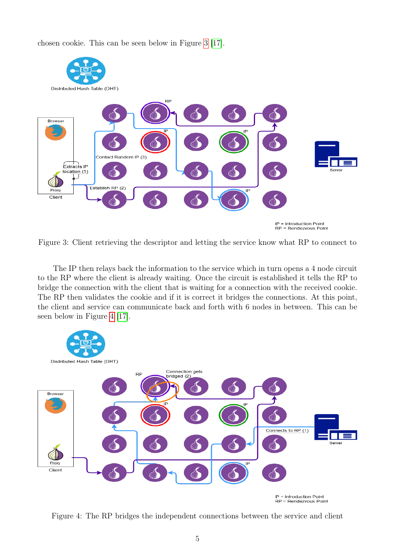chosen cookie. This can be seen below in Figure [3](#page-6-0) [\[17\]](#page-18-6).

<span id="page-6-0"></span>

Figure 3: Client retrieving the descriptor and letting the service know what RP to connect to

The IP then relays back the information to the service which in turn opens a 4 node circuit to the RP where the client is already waiting. Once the circuit is established it tells the RP to bridge the connection with the client that is waiting for a connection with the received cookie. The RP then validates the cookie and if it is correct it bridges the connections. At this point, the client and service can communicate back and forth with 6 nodes in between. This can be seen below in Figure [4](#page-6-1) [\[17\]](#page-18-6).

<span id="page-6-1"></span>

Figure 4: The RP bridges the independent connections between the service and client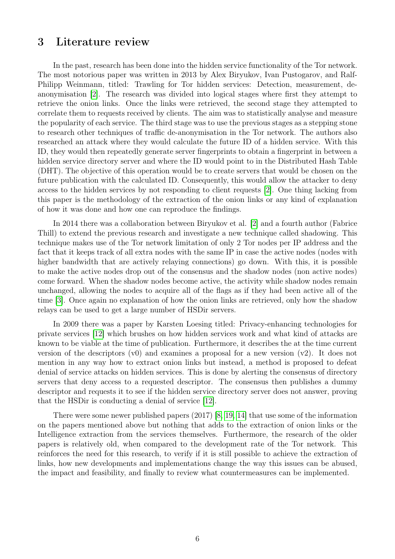## <span id="page-7-0"></span>3 Literature review

In the past, research has been done into the hidden service functionality of the Tor network. The most notorious paper was written in 2013 by Alex Biryukov, Ivan Pustogarov, and Ralf-Philipp Weinmann, titled: Trawling for Tor hidden services: Detection, measurement, deanonymisation [\[2\]](#page-18-8). The research was divided into logical stages where first they attempt to retrieve the onion links. Once the links were retrieved, the second stage they attempted to correlate them to requests received by clients. The aim was to statistically analyse and measure the popularity of each service. The third stage was to use the previous stages as a stepping stone to research other techniques of traffic de-anonymisation in the Tor network. The authors also researched an attack where they would calculate the future ID of a hidden service. With this ID, they would then repeatedly generate server fingerprints to obtain a fingerprint in between a hidden service directory server and where the ID would point to in the Distributed Hash Table (DHT). The objective of this operation would be to create servers that would be chosen on the future publication with the calculated ID. Consequently, this would allow the attacker to deny access to the hidden services by not responding to client requests [\[2\]](#page-18-8). One thing lacking from this paper is the methodology of the extraction of the onion links or any kind of explanation of how it was done and how one can reproduce the findings.

In 2014 there was a collaboration between Biryukov et al. [\[2\]](#page-18-8) and a fourth author (Fabrice Thill) to extend the previous research and investigate a new technique called shadowing. This technique makes use of the Tor network limitation of only 2 Tor nodes per IP address and the fact that it keeps track of all extra nodes with the same IP in case the active nodes (nodes with higher bandwidth that are actively relaying connections) go down. With this, it is possible to make the active nodes drop out of the consensus and the shadow nodes (non active nodes) come forward. When the shadow nodes become active, the activity while shadow nodes remain unchanged, allowing the nodes to acquire all of the flags as if they had been active all of the time [\[3\]](#page-18-9). Once again no explanation of how the onion links are retrieved, only how the shadow relays can be used to get a large number of HSDir servers.

In 2009 there was a paper by Karsten Loesing titled: Privacy-enhancing technologies for private services [\[12\]](#page-18-10) which brushes on how hidden services work and what kind of attacks are known to be viable at the time of publication. Furthermore, it describes the at the time current version of the descriptors (v0) and examines a proposal for a new version  $(v2)$ . It does not mention in any way how to extract onion links but instead, a method is proposed to defeat denial of service attacks on hidden services. This is done by alerting the consensus of directory servers that deny access to a requested descriptor. The consensus then publishes a dummy descriptor and requests it to see if the hidden service directory server does not answer, proving that the HSDir is conducting a denial of service [\[12\]](#page-18-10).

There were some newer published papers (2017) [\[8,](#page-18-11) [19,](#page-19-0) [14\]](#page-18-12) that use some of the information on the papers mentioned above but nothing that adds to the extraction of onion links or the Intelligence extraction from the services themselves. Furthermore, the research of the older papers is relatively old, when compared to the development rate of the Tor network. This reinforces the need for this research, to verify if it is still possible to achieve the extraction of links, how new developments and implementations change the way this issues can be abused, the impact and feasibility, and finally to review what countermeasures can be implemented.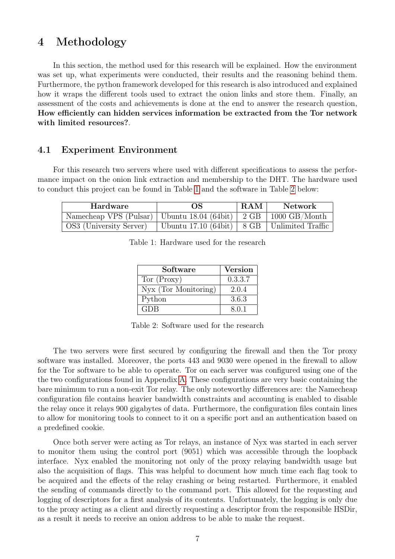## <span id="page-8-0"></span>4 Methodology

In this section, the method used for this research will be explained. How the environment was set up, what experiments were conducted, their results and the reasoning behind them. Furthermore, the python framework developed for this research is also introduced and explained how it wraps the different tools used to extract the onion links and store them. Finally, an assessment of the costs and achievements is done at the end to answer the research question, How efficiently can hidden services information be extracted from the Tor network with limited resources?.

#### <span id="page-8-1"></span>4.1 Experiment Environment

For this research two servers where used with different specifications to assess the performance impact on the onion link extraction and membership to the DHT. The hardware used to conduct this project can be found in Table [1](#page-8-2) and the software in Table [2](#page-8-3) below:

<span id="page-8-3"></span><span id="page-8-2"></span>

| Hardware                                                               | OS                                              | RAM | Network |
|------------------------------------------------------------------------|-------------------------------------------------|-----|---------|
| Namecheap VPS (Pulsar)   Ubuntu 18.04 (64bit)   $2$ GB   1000 GB/Month |                                                 |     |         |
| OS3 (University Server)                                                | Ubuntu 17.10 (64bit)   8 GB   Unlimited Traffic |     |         |

| Software             | <b>Version</b> |
|----------------------|----------------|
| Tor (Proxy)          | 0.3.3.7        |
| Nyx (Tor Monitoring) | 2.0.4          |
| Python               | 3.6.3          |
| <b>GDB</b>           | 8.0.1          |

Table 1: Hardware used for the research

Table 2: Software used for the research

The two servers were first secured by configuring the firewall and then the Tor proxy software was installed. Moreover, the ports 443 and 9030 were opened in the firewall to allow for the Tor software to be able to operate. Tor on each server was configured using one of the the two configurations found in Appendix [A.](#page-20-1) These configurations are very basic containing the bare minimum to run a non-exit Tor relay. The only noteworthy differences are: the Namecheap configuration file contains heavier bandwidth constraints and accounting is enabled to disable the relay once it relays 900 gigabytes of data. Furthermore, the configuration files contain lines to allow for monitoring tools to connect to it on a specific port and an authentication based on a predefined cookie.

Once both server were acting as Tor relays, an instance of Nyx was started in each server to monitor them using the control port (9051) which was accessible through the loopback interface. Nyx enabled the monitoring not only of the proxy relaying bandwidth usage but also the acquisition of flags. This was helpful to document how much time each flag took to be acquired and the effects of the relay crashing or being restarted. Furthermore, it enabled the sending of commands directly to the command port. This allowed for the requesting and logging of descriptors for a first analysis of its contents. Unfortunately, the logging is only due to the proxy acting as a client and directly requesting a descriptor from the responsible HSDir, as a result it needs to receive an onion address to be able to make the request.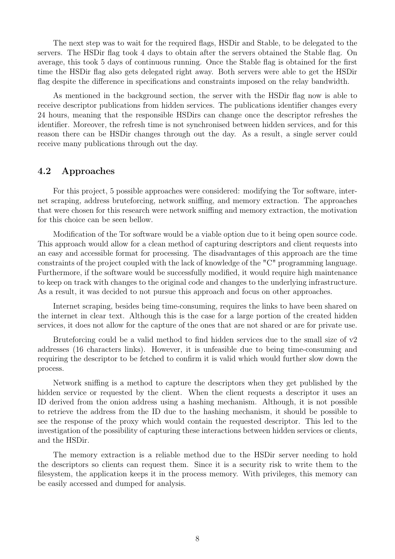The next step was to wait for the required flags, HSDir and Stable, to be delegated to the servers. The HSDir flag took 4 days to obtain after the servers obtained the Stable flag. On average, this took 5 days of continuous running. Once the Stable flag is obtained for the first time the HSDir flag also gets delegated right away. Both servers were able to get the HSDir flag despite the difference in specifications and constraints imposed on the relay bandwidth.

As mentioned in the background section, the server with the HSDir flag now is able to receive descriptor publications from hidden services. The publications identifier changes every 24 hours, meaning that the responsible HSDirs can change once the descriptor refreshes the identifier. Moreover, the refresh time is not synchronised between hidden services, and for this reason there can be HSDir changes through out the day. As a result, a single server could receive many publications through out the day.

#### <span id="page-9-0"></span>4.2 Approaches

For this project, 5 possible approaches were considered: modifying the Tor software, internet scraping, address bruteforcing, network sniffing, and memory extraction. The approaches that were chosen for this research were network sniffing and memory extraction, the motivation for this choice can be seen bellow.

Modification of the Tor software would be a viable option due to it being open source code. This approach would allow for a clean method of capturing descriptors and client requests into an easy and accessible format for processing. The disadvantages of this approach are the time constraints of the project coupled with the lack of knowledge of the "C" programming language. Furthermore, if the software would be successfully modified, it would require high maintenance to keep on track with changes to the original code and changes to the underlying infrastructure. As a result, it was decided to not pursue this approach and focus on other approaches.

Internet scraping, besides being time-consuming, requires the links to have been shared on the internet in clear text. Although this is the case for a large portion of the created hidden services, it does not allow for the capture of the ones that are not shared or are for private use.

Bruteforcing could be a valid method to find hidden services due to the small size of  $v2$ addresses (16 characters links). However, it is unfeasible due to being time-consuming and requiring the descriptor to be fetched to confirm it is valid which would further slow down the process.

Network sniffing is a method to capture the descriptors when they get published by the hidden service or requested by the client. When the client requests a descriptor it uses an ID derived from the onion address using a hashing mechanism. Although, it is not possible to retrieve the address from the ID due to the hashing mechanism, it should be possible to see the response of the proxy which would contain the requested descriptor. This led to the investigation of the possibility of capturing these interactions between hidden services or clients, and the HSDir.

The memory extraction is a reliable method due to the HSDir server needing to hold the descriptors so clients can request them. Since it is a security risk to write them to the filesystem, the application keeps it in the process memory. With privileges, this memory can be easily accessed and dumped for analysis.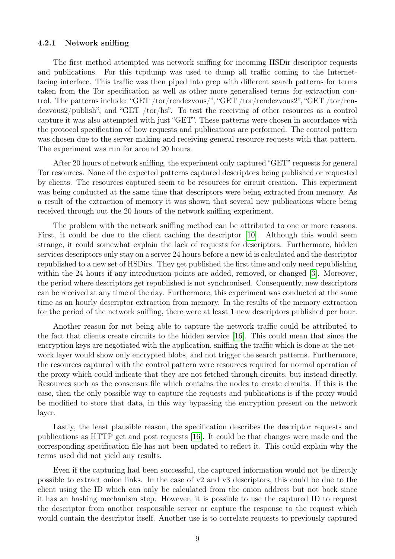#### <span id="page-10-0"></span>4.2.1 Network sniffing

The first method attempted was network sniffing for incoming HSDir descriptor requests and publications. For this tcpdump was used to dump all traffic coming to the Internetfacing interface. This traffic was then piped into grep with different search patterns for terms taken from the Tor specification as well as other more generalised terms for extraction control. The patterns include: "GET /tor/rendezvous/", "GET /tor/rendezvous2", "GET /tor/rendezvous2/publish", and "GET /tor/hs". To test the receiving of other resources as a control capture it was also attempted with just "GET". These patterns were chosen in accordance with the protocol specification of how requests and publications are performed. The control pattern was chosen due to the server making and receiving general resource requests with that pattern. The experiment was run for around 20 hours.

After 20 hours of network sniffing, the experiment only captured "GET" requests for general Tor resources. None of the expected patterns captured descriptors being published or requested by clients. The resources captured seem to be resources for circuit creation. This experiment was being conducted at the same time that descriptors were being extracted from memory. As a result of the extraction of memory it was shown that several new publications where being received through out the 20 hours of the network sniffing experiment.

The problem with the network sniffing method can be attributed to one or more reasons. First, it could be due to the client caching the descriptor [\[10\]](#page-18-13). Although this would seem strange, it could somewhat explain the lack of requests for descriptors. Furthermore, hidden services descriptors only stay on a server 24 hours before a new id is calculated and the descriptor republished to a new set of HSDirs. They get published the first time and only need republishing within the 24 hours if any introduction points are added, removed, or changed [\[3\]](#page-18-9). Moreover, the period where descriptors get republished is not synchronised. Consequently, new descriptors can be received at any time of the day. Furthermore, this experiment was conducted at the same time as an hourly descriptor extraction from memory. In the results of the memory extraction for the period of the network sniffing, there were at least 1 new descriptors published per hour.

Another reason for not being able to capture the network traffic could be attributed to the fact that clients create circuits to the hidden service [\[16\]](#page-18-7). This could mean that since the encryption keys are negotiated with the application, sniffing the traffic which is done at the network layer would show only encrypted blobs, and not trigger the search patterns. Furthermore, the resources captured with the control pattern were resources required for normal operation of the proxy which could indicate that they are not fetched through circuits, but instead directly. Resources such as the consensus file which contains the nodes to create circuits. If this is the case, then the only possible way to capture the requests and publications is if the proxy would be modified to store that data, in this way bypassing the encryption present on the network layer.

Lastly, the least plausible reason, the specification describes the descriptor requests and publications as HTTP get and post requests [\[16\]](#page-18-7). It could be that changes were made and the corresponding specification file has not been updated to reflect it. This could explain why the terms used did not yield any results.

Even if the capturing had been successful, the captured information would not be directly possible to extract onion links. In the case of  $v^2$  and  $v^3$  descriptors, this could be due to the client using the ID which can only be calculated from the onion address but not back since it has an hashing mechanism step. However, it is possible to use the captured ID to request the descriptor from another responsible server or capture the response to the request which would contain the descriptor itself. Another use is to correlate requests to previously captured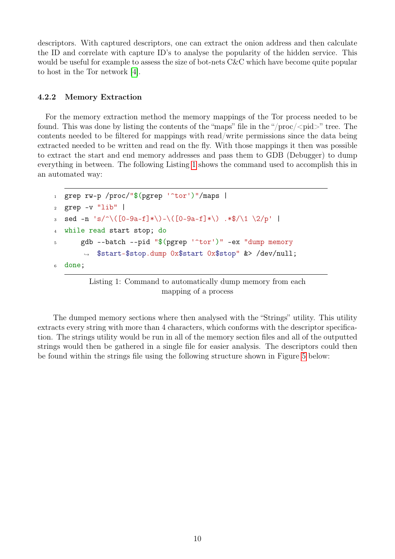descriptors. With captured descriptors, one can extract the onion address and then calculate the ID and correlate with capture ID's to analyse the popularity of the hidden service. This would be useful for example to assess the size of bot-nets C&C which have become quite popular to host in the Tor network [\[4\]](#page-18-14).

#### <span id="page-11-0"></span>4.2.2 Memory Extraction

For the memory extraction method the memory mappings of the Tor process needed to be found. This was done by listing the contents of the "maps" file in the "/ $\text{proc}$ /< $\text{pid}$ >" tree. The contents needed to be filtered for mappings with read/write permissions since the data being extracted needed to be written and read on the fly. With those mappings it then was possible to extract the start and end memory addresses and pass them to GDB (Debugger) to dump everything in between. The following Listing [1](#page-11-1) shows the command used to accomplish this in an automated way:

```
1 grep rw-p /proc/"$(pgrep '<sup>~</sup>tor')"/maps |
2 grep -v "lib" |
3 sed -n 's/^\([0-9a-f]*\)-\([0-9a-f]*\) .*$/\1 \2/p' |
4 while read start stop; do
5 gdb --batch --pid "$(pgrep '^tor')" -ex "dump memory
       ,→ $start-$stop.dump 0x$start 0x$stop" &> /dev/null;
6 done;
```
Listing 1: Command to automatically dump memory from each mapping of a process

The dumped memory sections where then analysed with the "Strings" utility. This utility extracts every string with more than 4 characters, which conforms with the descriptor specification. The strings utility would be run in all of the memory section files and all of the outputted strings would then be gathered in a single file for easier analysis. The descriptors could then be found within the strings file using the following structure shown in Figure [5](#page-12-0) below: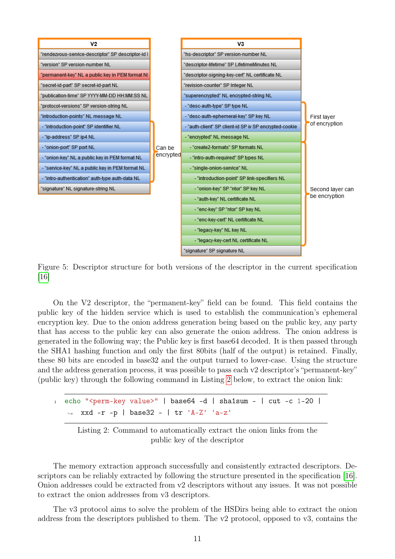<span id="page-12-0"></span>

Figure 5: Descriptor structure for both versions of the descriptor in the current specification [\[16\]](#page-18-7)

On the V2 descriptor, the "permanent-key" field can be found. This field contains the public key of the hidden service which is used to establish the communication's ephemeral encryption key. Due to the onion address generation being based on the public key, any party that has access to the public key can also generate the onion address. The onion address is generated in the following way; the Public key is first base64 decoded. It is then passed through the SHA1 hashing function and only the first 80bits (half of the output) is retained. Finally, these 80 bits are encoded in base32 and the output turned to lower-case. Using the structure and the address generation process, it was possible to pass each v2 descriptor's "permanent-key" (public key) through the following command in Listing [2](#page-12-1) below, to extract the onion link:

<span id="page-12-1"></span> $1$  echo "<perm-key value>" | base64 -d | sha1sum - | cut -c 1-20 | ,<sup>→</sup> xxd -r -p | base32 - | tr 'A-Z' 'a-z'

Listing 2: Command to automatically extract the onion links from the public key of the descriptor

The memory extraction approach successfully and consistently extracted descriptors. Descriptors can be reliably extracted by following the structure presented in the specification [\[16\]](#page-18-7). Onion addresses could be extracted from v2 descriptors without any issues. It was not possible to extract the onion addresses from v3 descriptors.

The v3 protocol aims to solve the problem of the HSDirs being able to extract the onion address from the descriptors published to them. The v2 protocol, opposed to v3, contains the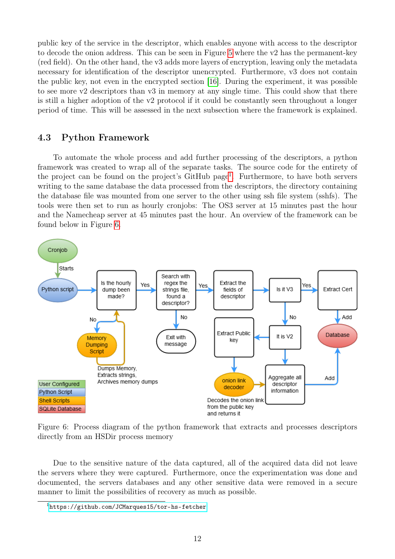public key of the service in the descriptor, which enables anyone with access to the descriptor to decode the onion address. This can be seen in Figure [5](#page-12-0) where the v2 has the permanent-key (red field). On the other hand, the v3 adds more layers of encryption, leaving only the metadata necessary for identification of the descriptor unencrypted. Furthermore, v3 does not contain the public key, not even in the encrypted section [\[16\]](#page-18-7). During the experiment, it was possible to see more v2 descriptors than v3 in memory at any single time. This could show that there is still a higher adoption of the v2 protocol if it could be constantly seen throughout a longer period of time. This will be assessed in the next subsection where the framework is explained.

#### <span id="page-13-0"></span>4.3 Python Framework

To automate the whole process and add further processing of the descriptors, a python framework was created to wrap all of the separate tasks. The source code for the entirety of the project can be found on the project's GitHub page<sup>[1](#page-13-1)</sup>. Furthermore, to have both servers writing to the same database the data processed from the descriptors, the directory containing the database file was mounted from one server to the other using ssh file system (sshfs). The tools were then set to run as hourly cronjobs: The OS3 server at 15 minutes past the hour and the Namecheap server at 45 minutes past the hour. An overview of the framework can be found below in Figure [6.](#page-13-2)

<span id="page-13-2"></span>

Figure 6: Process diagram of the python framework that extracts and processes descriptors directly from an HSDir process memory

Due to the sensitive nature of the data captured, all of the acquired data did not leave the servers where they were captured. Furthermore, once the experimentation was done and documented, the servers databases and any other sensitive data were removed in a secure manner to limit the possibilities of recovery as much as possible.

<span id="page-13-1"></span><sup>1</sup><https://github.com/JCMarques15/tor-hs-fetcher>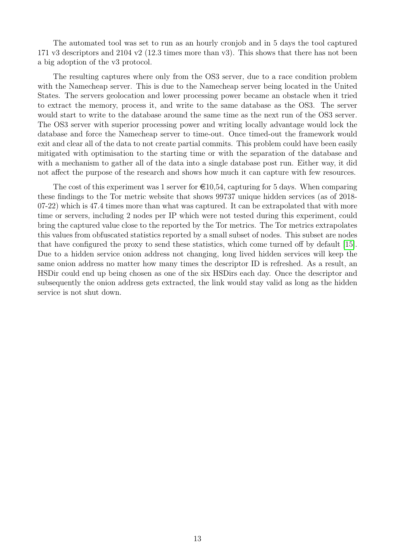The automated tool was set to run as an hourly cronjob and in 5 days the tool captured 171 v3 descriptors and 2104 v2 (12.3 times more than v3). This shows that there has not been a big adoption of the v3 protocol.

The resulting captures where only from the OS3 server, due to a race condition problem with the Namecheap server. This is due to the Namecheap server being located in the United States. The servers geolocation and lower processing power became an obstacle when it tried to extract the memory, process it, and write to the same database as the OS3. The server would start to write to the database around the same time as the next run of the OS3 server. The OS3 server with superior processing power and writing locally advantage would lock the database and force the Namecheap server to time-out. Once timed-out the framework would exit and clear all of the data to not create partial commits. This problem could have been easily mitigated with optimisation to the starting time or with the separation of the database and with a mechanism to gather all of the data into a single database post run. Either way, it did not affect the purpose of the research and shows how much it can capture with few resources.

The cost of this experiment was 1 server for  $\epsilon 10,54$ , capturing for 5 days. When comparing these findings to the Tor metric website that shows 99737 unique hidden services (as of 2018- 07-22) which is 47.4 times more than what was captured. It can be extrapolated that with more time or servers, including 2 nodes per IP which were not tested during this experiment, could bring the captured value close to the reported by the Tor metrics. The Tor metrics extrapolates this values from obfuscated statistics reported by a small subset of nodes. This subset are nodes that have configured the proxy to send these statistics, which come turned off by default [\[15\]](#page-18-15). Due to a hidden service onion address not changing, long lived hidden services will keep the same onion address no matter how many times the descriptor ID is refreshed. As a result, an HSDir could end up being chosen as one of the six HSDirs each day. Once the descriptor and subsequently the onion address gets extracted, the link would stay valid as long as the hidden service is not shut down.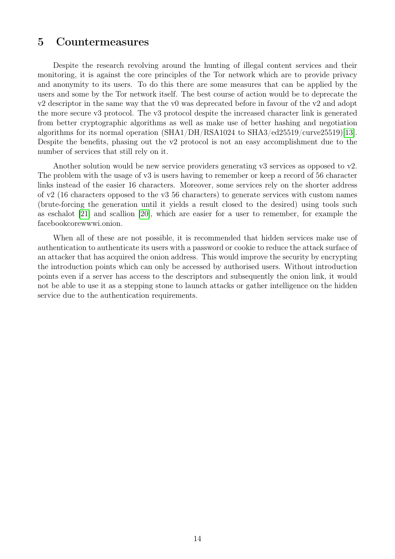### <span id="page-15-0"></span>5 Countermeasures

Despite the research revolving around the hunting of illegal content services and their monitoring, it is against the core principles of the Tor network which are to provide privacy and anonymity to its users. To do this there are some measures that can be applied by the users and some by the Tor network itself. The best course of action would be to deprecate the v2 descriptor in the same way that the v0 was deprecated before in favour of the v2 and adopt the more secure v3 protocol. The v3 protocol despite the increased character link is generated from better cryptographic algorithms as well as make use of better hashing and negotiation algorithms for its normal operation (SHA1/DH/RSA1024 to SHA3/ed25519/curve25519)[\[13\]](#page-18-16). Despite the benefits, phasing out the v2 protocol is not an easy accomplishment due to the number of services that still rely on it.

Another solution would be new service providers generating v3 services as opposed to v2. The problem with the usage of v3 is users having to remember or keep a record of 56 character links instead of the easier 16 characters. Moreover, some services rely on the shorter address of v2 (16 characters opposed to the v3 56 characters) to generate services with custom names (brute-forcing the generation until it yields a result closed to the desired) using tools such as eschalot [\[21\]](#page-19-1) and scallion [\[20\]](#page-19-2), which are easier for a user to remember, for example the facebookcorewwwi.onion.

When all of these are not possible, it is recommended that hidden services make use of authentication to authenticate its users with a password or cookie to reduce the attack surface of an attacker that has acquired the onion address. This would improve the security by encrypting the introduction points which can only be accessed by authorised users. Without introduction points even if a server has access to the descriptors and subsequently the onion link, it would not be able to use it as a stepping stone to launch attacks or gather intelligence on the hidden service due to the authentication requirements.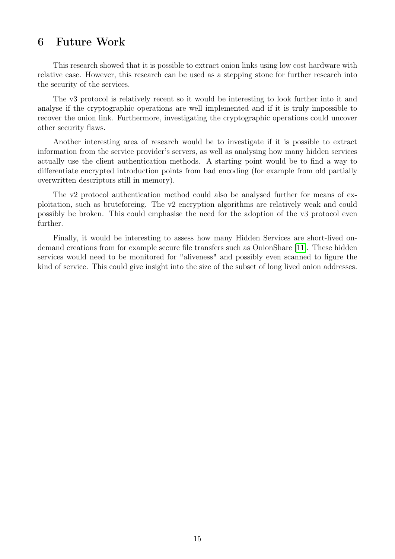# <span id="page-16-0"></span>6 Future Work

This research showed that it is possible to extract onion links using low cost hardware with relative ease. However, this research can be used as a stepping stone for further research into the security of the services.

The v3 protocol is relatively recent so it would be interesting to look further into it and analyse if the cryptographic operations are well implemented and if it is truly impossible to recover the onion link. Furthermore, investigating the cryptographic operations could uncover other security flaws.

Another interesting area of research would be to investigate if it is possible to extract information from the service provider's servers, as well as analysing how many hidden services actually use the client authentication methods. A starting point would be to find a way to differentiate encrypted introduction points from bad encoding (for example from old partially overwritten descriptors still in memory).

The v2 protocol authentication method could also be analysed further for means of exploitation, such as bruteforcing. The v2 encryption algorithms are relatively weak and could possibly be broken. This could emphasise the need for the adoption of the v3 protocol even further.

Finally, it would be interesting to assess how many Hidden Services are short-lived ondemand creations from for example secure file transfers such as OnionShare [\[11\]](#page-18-17). These hidden services would need to be monitored for "aliveness" and possibly even scanned to figure the kind of service. This could give insight into the size of the subset of long lived onion addresses.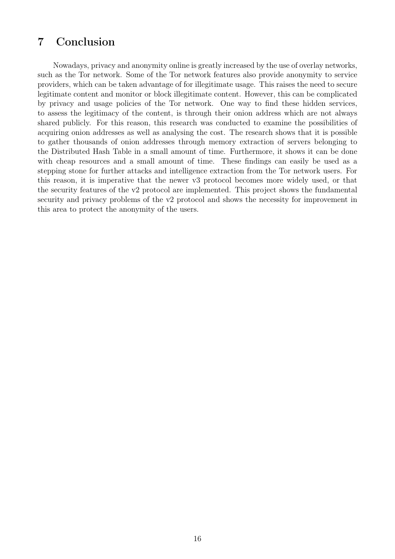# <span id="page-17-0"></span>7 Conclusion

Nowadays, privacy and anonymity online is greatly increased by the use of overlay networks, such as the Tor network. Some of the Tor network features also provide anonymity to service providers, which can be taken advantage of for illegitimate usage. This raises the need to secure legitimate content and monitor or block illegitimate content. However, this can be complicated by privacy and usage policies of the Tor network. One way to find these hidden services, to assess the legitimacy of the content, is through their onion address which are not always shared publicly. For this reason, this research was conducted to examine the possibilities of acquiring onion addresses as well as analysing the cost. The research shows that it is possible to gather thousands of onion addresses through memory extraction of servers belonging to the Distributed Hash Table in a small amount of time. Furthermore, it shows it can be done with cheap resources and a small amount of time. These findings can easily be used as a stepping stone for further attacks and intelligence extraction from the Tor network users. For this reason, it is imperative that the newer v3 protocol becomes more widely used, or that the security features of the v2 protocol are implemented. This project shows the fundamental security and privacy problems of the v2 protocol and shows the necessity for improvement in this area to protect the anonymity of the users.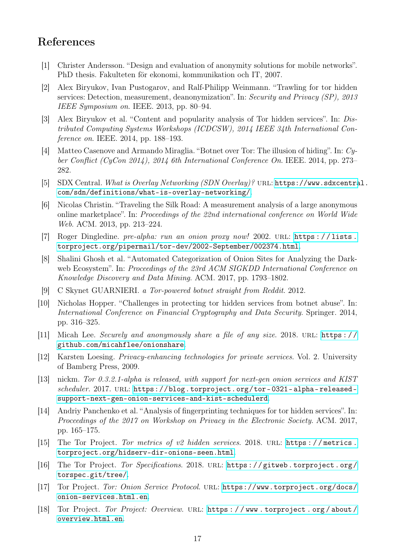# References

- <span id="page-18-0"></span>[1] Christer Andersson. "Design and evaluation of anonymity solutions for mobile networks". PhD thesis. Fakulteten för ekonomi, kommunikation och IT, 2007.
- <span id="page-18-8"></span>[2] Alex Biryukov, Ivan Pustogarov, and Ralf-Philipp Weinmann. "Trawling for tor hidden services: Detection, measurement, deanonymization". In: Security and Privacy (SP), 2013 IEEE Symposium on. IEEE. 2013, pp. 80–94.
- <span id="page-18-9"></span>[3] Alex Biryukov et al. "Content and popularity analysis of Tor hidden services". In: Distributed Computing Systems Workshops (ICDCSW), 2014 IEEE 34th International Conference on. IEEE. 2014, pp. 188–193.
- <span id="page-18-14"></span>[4] Matteo Casenove and Armando Miraglia. "Botnet over Tor: The illusion of hiding". In: Cyber Conflict (CyCon 2014), 2014 6th International Conference On. IEEE. 2014, pp. 273– 282.
- <span id="page-18-4"></span>[5] SDX Central. What is Overlay Networking (SDN Overlay)? url: [https://www.sdxcentra](https://www.sdxcentral.com/sdn/definitions/what-is-overlay-networking/)l. [com/sdn/definitions/what-is-overlay-networking/](https://www.sdxcentral.com/sdn/definitions/what-is-overlay-networking/).
- <span id="page-18-2"></span>[6] Nicolas Christin. "Traveling the Silk Road: A measurement analysis of a large anonymous online marketplace". In: Proceedings of the 22nd international conference on World Wide Web. ACM. 2013, pp. 213–224.
- <span id="page-18-1"></span>[7] Roger Dingledine. pre-alpha: run an onion proxy now! 2002. URL: https://lists. [torproject.org/pipermail/tor-dev/2002-September/002374.html](https://lists.torproject.org/pipermail/tor-dev/2002-September/002374.html).
- <span id="page-18-11"></span>[8] Shalini Ghosh et al. "Automated Categorization of Onion Sites for Analyzing the Darkweb Ecosystem". In: Proceedings of the 23rd ACM SIGKDD International Conference on Knowledge Discovery and Data Mining. ACM. 2017, pp. 1793–1802.
- <span id="page-18-3"></span>[9] C Skynet GUARNIERI. a Tor-powered botnet straight from Reddit. 2012.
- <span id="page-18-13"></span>[10] Nicholas Hopper. "Challenges in protecting tor hidden services from botnet abuse". In: International Conference on Financial Cryptography and Data Security. Springer. 2014, pp. 316–325.
- <span id="page-18-17"></span>[11] Micah Lee. Securely and anonymously share a file of any size. 2018. URL: https:// [github.com/micahflee/onionshare](https://github.com/micahflee/onionshare).
- <span id="page-18-10"></span>[12] Karsten Loesing. Privacy-enhancing technologies for private services. Vol. 2. University of Bamberg Press, 2009.
- <span id="page-18-16"></span>[13] nickm. Tor 0.3.2.1-alpha is released, with support for next-gen onion services and KIST scheduler. 2017. URL: https://blog.torproject.org/tor-0321-alpha-released[support-next-gen-onion-services-and-kist-schedulerd](https://blog.torproject.org/tor-0321-alpha-released-support-next-gen-onion-services-and-kist-schedulerd).
- <span id="page-18-12"></span>[14] Andriy Panchenko et al. "Analysis of fingerprinting techniques for tor hidden services". In: Proceedings of the 2017 on Workshop on Privacy in the Electronic Society. ACM. 2017, pp. 165–175.
- <span id="page-18-15"></span>[15] The Tor Project. Tor metrics of v2 hidden services. 2018. url: [https : / / metrics .](https://metrics.torproject.org/hidserv-dir-onions-seen.html) [torproject.org/hidserv-dir-onions-seen.html](https://metrics.torproject.org/hidserv-dir-onions-seen.html).
- <span id="page-18-7"></span>[16] The Tor Project. Tor Specifications. 2018. URL: https://gitweb.torproject.org/ [torspec.git/tree/](https://gitweb.torproject.org/torspec.git/tree/).
- <span id="page-18-6"></span>[17] Tor Project. Tor: Onion Service Protocol. url: [https://www.torproject.org/docs/](https://www.torproject.org/docs/onion-services.html.en) [onion-services.html.en](https://www.torproject.org/docs/onion-services.html.en).
- <span id="page-18-5"></span>[18] Tor Project. Tor Project: Overview. URL: https://www.torproject.org/about/ [overview.html.en](https://www.torproject.org/about/overview.html.en).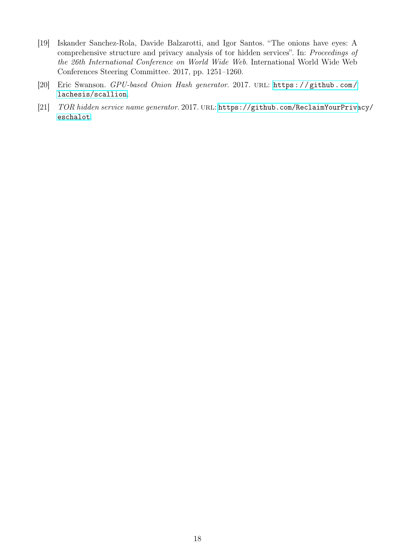- <span id="page-19-0"></span>[19] Iskander Sanchez-Rola, Davide Balzarotti, and Igor Santos. "The onions have eyes: A comprehensive structure and privacy analysis of tor hidden services". In: Proceedings of the 26th International Conference on World Wide Web. International World Wide Web Conferences Steering Committee. 2017, pp. 1251–1260.
- <span id="page-19-2"></span>[20] Eric Swanson. GPU-based Onion Hash generator. 2017. URL: https://github.com/ [lachesis/scallion](https://github.com/lachesis/scallion).
- <span id="page-19-1"></span>[21] TOR hidden service name generator. 2017. URL: [https://github.com/ReclaimYourPriva](https://github.com/ReclaimYourPrivacy/eschalot)cy/ [eschalot](https://github.com/ReclaimYourPrivacy/eschalot).